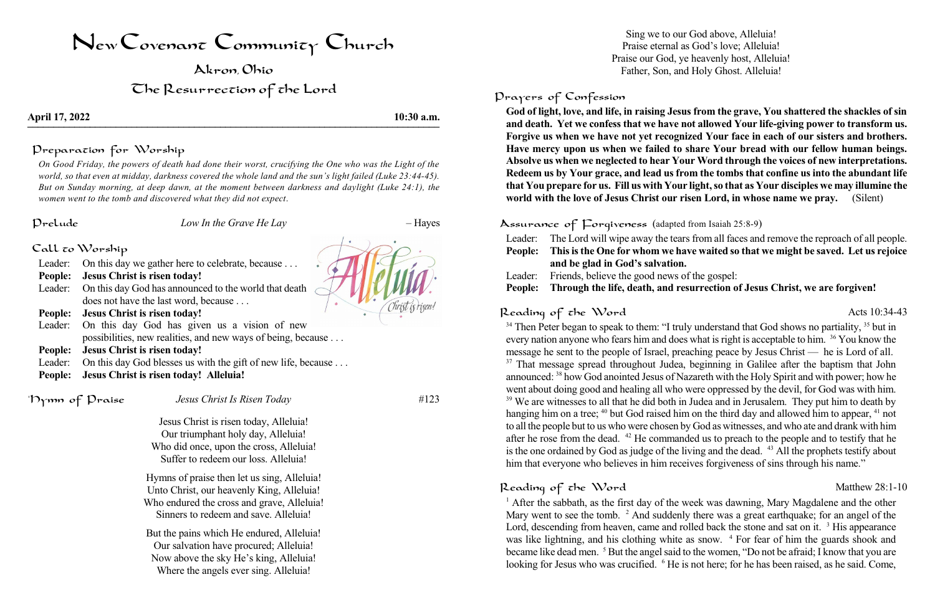# NewCovenant Community Church

Akron, Ohio

**April 17, 2022 10:30 a.m. Apin 17, 2022 10.30 a.m.** 

The Resurrection of the Lord

Preparation for Worship

On Good Friday, the powers of death had done their worst, crucifying the One who was the Light of the world, so that even at midday, darkness covered the whole land and the sun's light failed (Luke 23:44-45). *But on Sunday morning, at deep dawn, at the moment between darkness and daylight (Luke 24:1), the women went to the tomb and discovered what they did not expect*.

- Leader: On this day we gather here to celebrate, because . . .
- **People: Jesus Christ is risen today!**
- Leader: On this day God has announced to the world that death does not have the last word, because . . .
- **People: Jesus Christ is risen today!**
- Leader: On this day God has given us a vision of new possibilities, new realities, and new ways of being, because . . . **People: Jesus Christ is risen today!**
- Leader: On this day God blesses us with the gift of new life, because . . .
- **People: Jesus Christ is risen today! Alleluia!**

### Prelude *Low In the Grave He Lay* – Hayes

|  | Call <mark>c</mark> o Worship |
|--|-------------------------------|
|--|-------------------------------|

\*Hymn of Praise *Jesus Christ Is Risen Today* #123

Jesus Christ is risen today, Alleluia! Our triumphant holy day, Alleluia! Who did once, upon the cross, Alleluia! Suffer to redeem our loss. Alleluia!

es from all faces and remove the reproach of all people. **People: Thisisthe One for whom we have waited so that we might be saved. Let us rejoice**

Hymns of praise then let us sing, Alleluia! Unto Christ, our heavenly King, Alleluia! Who endured the cross and grave, Alleluia! Sinners to redeem and save. Alleluia!

### If the gospel: **People: Through the life, death, and resurrection of Jesus Christ, we are forgiven!**

But the pains which He endured, Alleluia! Our salvation have procured; Alleluia! Now above the sky He's king, Alleluia! Where the angels ever sing. Alleluia!

Sing we to our God above, Alleluia! Praise eternal as God's love; Alleluia! Praise our God, ye heavenly host, Alleluia! Father, Son, and Holy Ghost. Alleluia!

## Prayers of Confession

<sup>34</sup> Then Peter began to speak to them: "I truly understand that God shows no partiality, <sup>35</sup> but in every nation anyone who fears him and does what is right is acceptable to him. <sup>36</sup> You know the message he sent to the people of Israel, preaching peace by Jesus Christ — he is Lord of all. <sup>37</sup> That message spread throughout Judea, beginning in Galilee after the baptism that John announced: <sup>38</sup> how God anointed Jesus of Nazareth with the Holy Spirit and with power; how he went about doing good and healing all who were oppressed by the devil, for God was with him. <sup>39</sup> We are witnesses to all that he did both in Judea and in Jerusalem. They put him to death by hanging him on a tree; <sup>40</sup> but God raised him on the third day and allowed him to appear, <sup>41</sup> not to all the people but to us who were chosen by God as witnesses, and who ate and drank with him after he rose from the dead. <sup>42</sup> He commanded us to preach to the people and to testify that he is the one ordained by God as judge of the living and the dead. <sup>43</sup> All the prophets testify about him that everyone who believes in him receives forgiveness of sins through his name."

# Reading of the Word Matthew 28:1-10

<sup>1</sup> After the sabbath, as the first day of the week was dawning, Mary Magdalene and the other Mary went to see the tomb. <sup>2</sup> And suddenly there was a great earthquake; for an angel of the Lord, descending from heaven, came and rolled back the stone and sat on it. <sup>3</sup> His appearance was like lightning, and his clothing white as snow. <sup>4</sup> For fear of him the guards shook and became like dead men. <sup>5</sup> But the angel said to the women, "Do not be afraid; I know that you are looking for Jesus who was crucified. <sup>6</sup> He is not here; for he has been raised, as he said. Come,



**God of light, love, and life, in raising Jesus from the grave, You shattered the shackles of sin and death. Yet we confess that we have not allowed Your life-giving power to transform us. Forgive us when we have not yet recognized Your face in each of our sisters and brothers. Have mercy upon us when we failed to share Your bread with our fellow human beings. Absolve us when we neglected to hear Your Word through the voices of new interpretations. Redeem us by Your grace, and lead us from the tombs that confine us into the abundant life that You prepare for us. Fill us with Your light,so that as Your disciples we may illumine the world with the love of Jesus Christ our risen Lord, in whose name we pray.** (Silent)

Assurance of Forgiveness (adapted from Isaiah 25:8-9)

| Leader:        | The Lord will wipe away the tears               |  |  |
|----------------|-------------------------------------------------|--|--|
| <b>People:</b> | This is the One for whom we ha                  |  |  |
|                | and be glad in God's salvation.                 |  |  |
| Leader:        | Friends, believe the good news of               |  |  |
|                | <b>People:</b> Through the life, death, and rea |  |  |

# Reading of the Word Acts 10:34-43